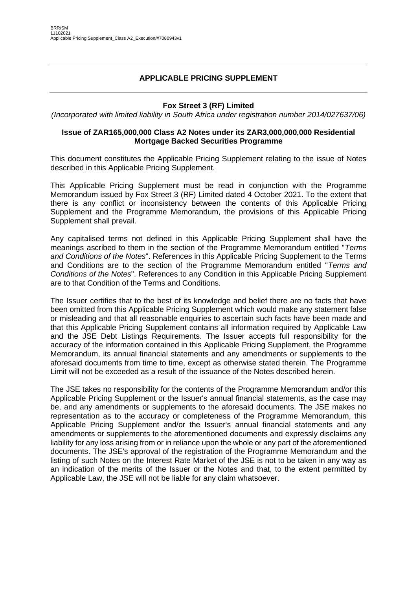## **APPLICABLE PRICING SUPPLEMENT**

### **Fox Street 3 (RF) Limited**

*(Incorporated with limited liability in South Africa under registration number 2014/027637/06)*

#### **Issue of ZAR165,000,000 Class A2 Notes under its ZAR3,000,000,000 Residential Mortgage Backed Securities Programme**

This document constitutes the Applicable Pricing Supplement relating to the issue of Notes described in this Applicable Pricing Supplement.

This Applicable Pricing Supplement must be read in conjunction with the Programme Memorandum issued by Fox Street 3 (RF) Limited dated 4 October 2021. To the extent that there is any conflict or inconsistency between the contents of this Applicable Pricing Supplement and the Programme Memorandum, the provisions of this Applicable Pricing Supplement shall prevail.

Any capitalised terms not defined in this Applicable Pricing Supplement shall have the meanings ascribed to them in the section of the Programme Memorandum entitled "*Terms and Conditions of the Notes*". References in this Applicable Pricing Supplement to the Terms and Conditions are to the section of the Programme Memorandum entitled "*Terms and Conditions of the Notes*". References to any Condition in this Applicable Pricing Supplement are to that Condition of the Terms and Conditions.

The Issuer certifies that to the best of its knowledge and belief there are no facts that have been omitted from this Applicable Pricing Supplement which would make any statement false or misleading and that all reasonable enquiries to ascertain such facts have been made and that this Applicable Pricing Supplement contains all information required by Applicable Law and the JSE Debt Listings Requirements. The Issuer accepts full responsibility for the accuracy of the information contained in this Applicable Pricing Supplement, the Programme Memorandum, its annual financial statements and any amendments or supplements to the aforesaid documents from time to time, except as otherwise stated therein. The Programme Limit will not be exceeded as a result of the issuance of the Notes described herein.

The JSE takes no responsibility for the contents of the Programme Memorandum and/or this Applicable Pricing Supplement or the Issuer's annual financial statements, as the case may be, and any amendments or supplements to the aforesaid documents. The JSE makes no representation as to the accuracy or completeness of the Programme Memorandum, this Applicable Pricing Supplement and/or the Issuer's annual financial statements and any amendments or supplements to the aforementioned documents and expressly disclaims any liability for any loss arising from or in reliance upon the whole or any part of the aforementioned documents. The JSE's approval of the registration of the Programme Memorandum and the listing of such Notes on the Interest Rate Market of the JSE is not to be taken in any way as an indication of the merits of the Issuer or the Notes and that, to the extent permitted by Applicable Law, the JSE will not be liable for any claim whatsoever.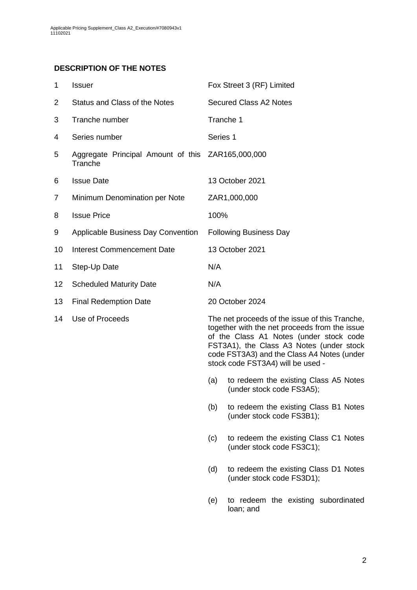## **DESCRIPTION OF THE NOTES**

<span id="page-1-0"></span>

| $\mathbf 1$ | <b>Issuer</b>                                                | Fox Street 3 (RF) Limited                                                                                                                                                                                                                                                                                                 |
|-------------|--------------------------------------------------------------|---------------------------------------------------------------------------------------------------------------------------------------------------------------------------------------------------------------------------------------------------------------------------------------------------------------------------|
| 2           | Status and Class of the Notes                                | <b>Secured Class A2 Notes</b>                                                                                                                                                                                                                                                                                             |
| 3           | Tranche number                                               | Tranche 1                                                                                                                                                                                                                                                                                                                 |
| 4           | Series number                                                | Series 1                                                                                                                                                                                                                                                                                                                  |
| 5           | Aggregate Principal Amount of this ZAR165,000,000<br>Tranche |                                                                                                                                                                                                                                                                                                                           |
| 6           | <b>Issue Date</b>                                            | 13 October 2021                                                                                                                                                                                                                                                                                                           |
| 7           | Minimum Denomination per Note                                | ZAR1,000,000                                                                                                                                                                                                                                                                                                              |
| 8           | <b>Issue Price</b>                                           | 100%                                                                                                                                                                                                                                                                                                                      |
| 9           | Applicable Business Day Convention                           | <b>Following Business Day</b>                                                                                                                                                                                                                                                                                             |
| 10          | <b>Interest Commencement Date</b>                            | 13 October 2021                                                                                                                                                                                                                                                                                                           |
| 11          | Step-Up Date                                                 | N/A                                                                                                                                                                                                                                                                                                                       |
| 12          | <b>Scheduled Maturity Date</b>                               | N/A                                                                                                                                                                                                                                                                                                                       |
| 13          | <b>Final Redemption Date</b>                                 | 20 October 2024                                                                                                                                                                                                                                                                                                           |
| 14          | Use of Proceeds                                              | The net proceeds of the issue of this Tranche,<br>together with the net proceeds from the issue<br>of the Class A1 Notes (under stock code<br>FST3A1), the Class A3 Notes (under stock<br>code FST3A3) and the Class A4 Notes (under<br>stock code FST3A4) will be used -<br>to redeem the existing Class A5 Notes<br>(a) |
|             |                                                              | (under stock code FS3A5);                                                                                                                                                                                                                                                                                                 |

(b) to redeem the existing Class B1 Notes (under stock code FS3B1);

(c) to redeem the existing Class C1 Notes (under stock code FS3C1);

- (d) to redeem the existing Class D1 Notes (under stock code FS3D1);
- (e) to redeem the existing subordinated loan; and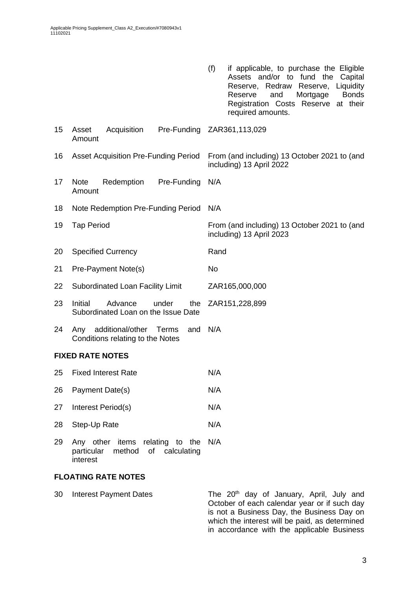|    |                                                                           | (f)<br>if applicable, to purchase the Eligible<br>Assets and/or to fund the<br>Capital<br>Reserve, Redraw<br>Liquidity<br>Reserve,<br><b>Bonds</b><br>Mortgage<br>Reserve<br>and<br>Registration Costs Reserve at their<br>required amounts. |  |  |
|----|---------------------------------------------------------------------------|----------------------------------------------------------------------------------------------------------------------------------------------------------------------------------------------------------------------------------------------|--|--|
| 15 | Asset<br>Acquisition<br>Amount                                            | Pre-Funding ZAR361,113,029                                                                                                                                                                                                                   |  |  |
| 16 | <b>Asset Acquisition Pre-Funding Period</b>                               | From (and including) 13 October 2021 to (and<br>including) 13 April 2022                                                                                                                                                                     |  |  |
| 17 | <b>Note</b><br>Redemption<br>Pre-Funding<br>Amount                        | N/A                                                                                                                                                                                                                                          |  |  |
| 18 | Note Redemption Pre-Funding Period                                        | N/A                                                                                                                                                                                                                                          |  |  |
| 19 | <b>Tap Period</b>                                                         | From (and including) 13 October 2021 to (and<br>including) 13 April 2023                                                                                                                                                                     |  |  |
| 20 | <b>Specified Currency</b>                                                 | Rand                                                                                                                                                                                                                                         |  |  |
| 21 | Pre-Payment Note(s)                                                       | No                                                                                                                                                                                                                                           |  |  |
| 22 | Subordinated Loan Facility Limit                                          | ZAR165,000,000                                                                                                                                                                                                                               |  |  |
| 23 | Initial<br>Advance<br>under<br>the<br>Subordinated Loan on the Issue Date | ZAR151,228,899                                                                                                                                                                                                                               |  |  |
| 24 | additional/other Terms<br>and<br>Any<br>Conditions relating to the Notes  | N/A                                                                                                                                                                                                                                          |  |  |
|    | <b>FIXED RATE NOTES</b>                                                   |                                                                                                                                                                                                                                              |  |  |
| 25 | <b>Fixed Interest Rate</b>                                                | N/A                                                                                                                                                                                                                                          |  |  |
| 26 | Payment Date(s)                                                           | N/A                                                                                                                                                                                                                                          |  |  |
| 27 | Interest Period(s)                                                        | N/A                                                                                                                                                                                                                                          |  |  |
| 28 | Step-Up Rate                                                              | N/A                                                                                                                                                                                                                                          |  |  |
| ററ | other items relating to the NIA                                           |                                                                                                                                                                                                                                              |  |  |

29 Any other items relating to the N/A particular method of calculating interest

## **FLOATING RATE NOTES**

30 Interest Payment Dates The 20<sup>th</sup> day of January, April, July and October of each calendar year or if such day is not a Business Day, the Business Day on which the interest will be paid, as determined in accordance with the applicable Business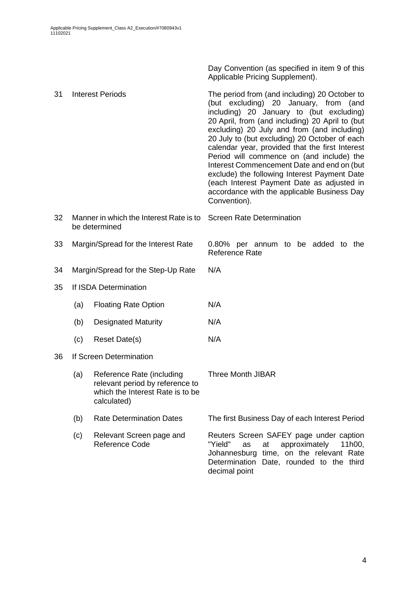Day Convention (as specified in item [9](#page-1-0) of this Applicable Pricing Supplement).

| 31 |                                                          | <b>Interest Periods</b>                                                                                         | The period from (and including) 20 October to<br>(but excluding) 20 January, from (and<br>including) 20 January to (but excluding)<br>20 April, from (and including) 20 April to (but<br>excluding) 20 July and from (and including)<br>20 July to (but excluding) 20 October of each<br>calendar year, provided that the first Interest<br>Period will commence on (and include) the<br>Interest Commencement Date and end on (but<br>exclude) the following Interest Payment Date<br>(each Interest Payment Date as adjusted in<br>accordance with the applicable Business Day<br>Convention). |  |  |  |  |  |
|----|----------------------------------------------------------|-----------------------------------------------------------------------------------------------------------------|--------------------------------------------------------------------------------------------------------------------------------------------------------------------------------------------------------------------------------------------------------------------------------------------------------------------------------------------------------------------------------------------------------------------------------------------------------------------------------------------------------------------------------------------------------------------------------------------------|--|--|--|--|--|
| 32 | Manner in which the Interest Rate is to<br>be determined |                                                                                                                 | <b>Screen Rate Determination</b>                                                                                                                                                                                                                                                                                                                                                                                                                                                                                                                                                                 |  |  |  |  |  |
| 33 | Margin/Spread for the Interest Rate                      |                                                                                                                 | 0.80% per annum to be added to the<br><b>Reference Rate</b>                                                                                                                                                                                                                                                                                                                                                                                                                                                                                                                                      |  |  |  |  |  |
| 34 | Margin/Spread for the Step-Up Rate                       |                                                                                                                 | N/A                                                                                                                                                                                                                                                                                                                                                                                                                                                                                                                                                                                              |  |  |  |  |  |
| 35 |                                                          | If ISDA Determination                                                                                           |                                                                                                                                                                                                                                                                                                                                                                                                                                                                                                                                                                                                  |  |  |  |  |  |
|    | (a)                                                      | <b>Floating Rate Option</b>                                                                                     | N/A                                                                                                                                                                                                                                                                                                                                                                                                                                                                                                                                                                                              |  |  |  |  |  |
|    | (b)                                                      | <b>Designated Maturity</b>                                                                                      | N/A                                                                                                                                                                                                                                                                                                                                                                                                                                                                                                                                                                                              |  |  |  |  |  |
|    | (c)                                                      | Reset Date(s)                                                                                                   | N/A                                                                                                                                                                                                                                                                                                                                                                                                                                                                                                                                                                                              |  |  |  |  |  |
| 36 |                                                          | If Screen Determination                                                                                         |                                                                                                                                                                                                                                                                                                                                                                                                                                                                                                                                                                                                  |  |  |  |  |  |
|    | (a)                                                      | Reference Rate (including<br>relevant period by reference to<br>which the Interest Rate is to be<br>calculated) | <b>Three Month JIBAR</b>                                                                                                                                                                                                                                                                                                                                                                                                                                                                                                                                                                         |  |  |  |  |  |
|    | (b)                                                      | <b>Rate Determination Dates</b>                                                                                 | The first Business Day of each Interest Period                                                                                                                                                                                                                                                                                                                                                                                                                                                                                                                                                   |  |  |  |  |  |
|    | (c)                                                      | Relevant Screen page and<br>Reference Code                                                                      | Reuters Screen SAFEY page under caption<br>"Yield"<br>approximately<br>at<br>11h00,<br>as<br>Johannesburg time, on the relevant Rate<br>Determination Date, rounded to the third<br>decimal point                                                                                                                                                                                                                                                                                                                                                                                                |  |  |  |  |  |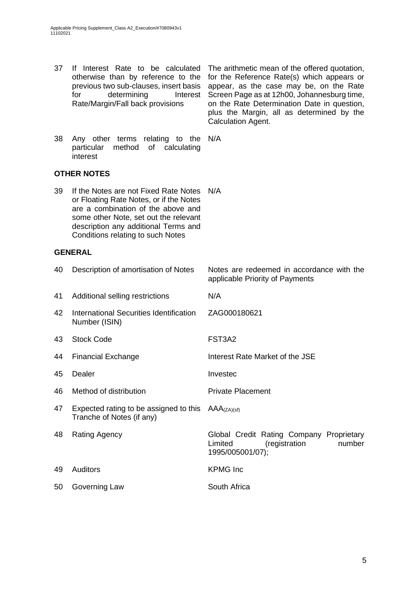37 If Interest Rate to be calculated

otherwise than by reference to the previous two sub-clauses, insert basis for determining Interest Rate/Margin/Fall back provisions for the Reference Rate(s) which appears or appear, as the case may be, on the Rate Screen Page as at 12h00, Johannesburg time, on the Rate Determination Date in question, plus the Margin, all as determined by the Calculation Agent. 38 Any other terms relating to the N/A particular method of calculating interest **OTHER NOTES** 39 If the Notes are not Fixed Rate Notes N/A or Floating Rate Notes, or if the Notes are a combination of the above and some other Note, set out the relevant description any additional Terms and Conditions relating to such Notes **GENERAL** 40 Description of amortisation of Notes Notes are redeemed in accordance with the applicable Priority of Payments 41 Additional selling restrictions N/A 42 International Securities Identification Number (ISIN) ZAG000180621 43 Stock Code FST3A2 44 Financial Exchange Interest Rate Market of the JSE 45 Dealer **Invested** 46 Method of distribution **Private Placement** 47 Expected rating to be assigned to this  $AAA_{(ZA)(sf)}$ Tranche of Notes (if any) 48 Rating Agency Global Credit Rating Company Proprietary Limited (registration number 1995/005001/07); 49 Auditors KPMG Inc 50 Governing Law South Africa

The arithmetic mean of the offered quotation,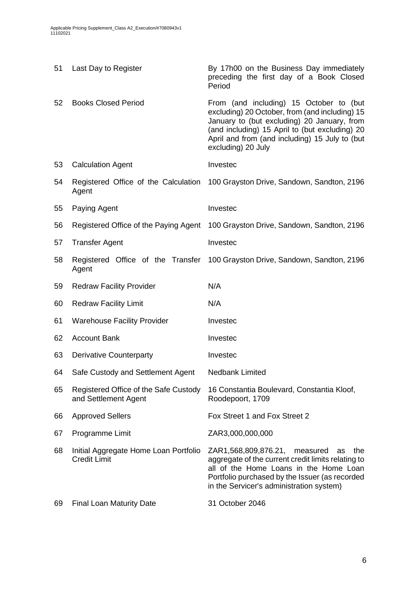| 51 | Last Day to Register                                          | By 17h00 on the Business Day immediately<br>preceding the first day of a Book Closed<br>Period                                                                                                                                                                     |
|----|---------------------------------------------------------------|--------------------------------------------------------------------------------------------------------------------------------------------------------------------------------------------------------------------------------------------------------------------|
| 52 | <b>Books Closed Period</b>                                    | From (and including) 15 October to (but<br>excluding) 20 October, from (and including) 15<br>January to (but excluding) 20 January, from<br>(and including) 15 April to (but excluding) 20<br>April and from (and including) 15 July to (but<br>excluding) 20 July |
| 53 | <b>Calculation Agent</b>                                      | Investec                                                                                                                                                                                                                                                           |
| 54 | Agent                                                         | Registered Office of the Calculation 100 Grayston Drive, Sandown, Sandton, 2196                                                                                                                                                                                    |
| 55 | Paying Agent                                                  | Investec                                                                                                                                                                                                                                                           |
| 56 | Registered Office of the Paying Agent                         | 100 Grayston Drive, Sandown, Sandton, 2196                                                                                                                                                                                                                         |
| 57 | <b>Transfer Agent</b>                                         | Investec                                                                                                                                                                                                                                                           |
| 58 | Agent                                                         | Registered Office of the Transfer 100 Grayston Drive, Sandown, Sandton, 2196                                                                                                                                                                                       |
| 59 | <b>Redraw Facility Provider</b>                               | N/A                                                                                                                                                                                                                                                                |
| 60 | <b>Redraw Facility Limit</b>                                  | N/A                                                                                                                                                                                                                                                                |
| 61 | <b>Warehouse Facility Provider</b>                            | Investec                                                                                                                                                                                                                                                           |
| 62 | <b>Account Bank</b>                                           | Investec                                                                                                                                                                                                                                                           |
| 63 | <b>Derivative Counterparty</b>                                | Investec                                                                                                                                                                                                                                                           |
| 64 | Safe Custody and Settlement Agent                             | Nedbank Limited                                                                                                                                                                                                                                                    |
| 65 | Registered Office of the Safe Custody<br>and Settlement Agent | 16 Constantia Boulevard, Constantia Kloof,<br>Roodepoort, 1709                                                                                                                                                                                                     |
| 66 | <b>Approved Sellers</b>                                       | Fox Street 1 and Fox Street 2                                                                                                                                                                                                                                      |
| 67 | Programme Limit                                               | ZAR3,000,000,000                                                                                                                                                                                                                                                   |
| 68 | Initial Aggregate Home Loan Portfolio<br><b>Credit Limit</b>  | ZAR1,568,809,876.21, measured<br>the<br>as<br>aggregate of the current credit limits relating to<br>all of the Home Loans in the Home Loan<br>Portfolio purchased by the Issuer (as recorded<br>in the Servicer's administration system)                           |
| 69 | <b>Final Loan Maturity Date</b>                               | 31 October 2046                                                                                                                                                                                                                                                    |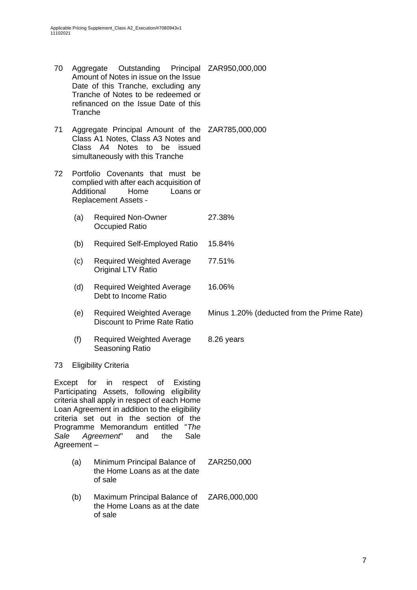- 70 Aggregate Outstanding Amount of Notes in issue on the Issue Date of this Tranche, excluding any Tranche of Notes to be redeemed or refinanced on the Issue Date of this Tranche Principal ZAR950,000,000
- 71 Aggregate Principal Amount of the ZAR785,000,000 Class A1 Notes, Class A3 Notes and Class A4 Notes to be issued simultaneously with this Tranche
- 72 Portfolio Covenants that must be complied with after each acquisition of Additional Home Loans or Replacement Assets -
	- (a) Required Non-Owner Occupied Ratio 27.38%
	- (b) Required Self-Employed Ratio 15.84%
	- (c) Required Weighted Average Original LTV Ratio 77.51%
	- (d) Required Weighted Average Debt to Income Ratio 16.06%
	- (e) Required Weighted Average Discount to Prime Rate Ratio
	- (f) Required Weighted Average Seasoning Ratio 8.26 years

### 73 Eligibility Criteria

Except for in respect of Existing Participating Assets, following eligibility criteria shall apply in respect of each Home Loan Agreement in addition to the eligibility criteria set out in the section of the Programme Memorandum entitled "*The Sale Agreement*" and the Sale Agreement –

- (a) Minimum Principal Balance of the Home Loans as at the date of sale ZAR250,000
- (b) Maximum Principal Balance of the Home Loans as at the date of sale ZAR6,000,000

Minus 1.20% (deducted from the Prime Rate)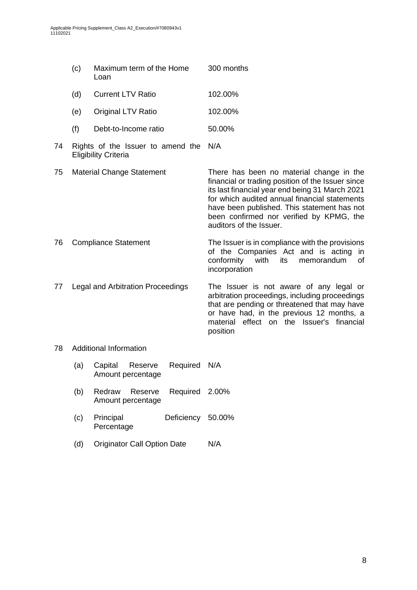|    | (c)                               | Maximum term of the Home<br>Loan                                 |          | 300 months                                                                                                                                                                                                                                                                                                              |  |
|----|-----------------------------------|------------------------------------------------------------------|----------|-------------------------------------------------------------------------------------------------------------------------------------------------------------------------------------------------------------------------------------------------------------------------------------------------------------------------|--|
|    | (d)                               | <b>Current LTV Ratio</b>                                         |          | 102.00%                                                                                                                                                                                                                                                                                                                 |  |
|    | (e)                               | <b>Original LTV Ratio</b>                                        |          | 102.00%                                                                                                                                                                                                                                                                                                                 |  |
|    | (f)                               | Debt-to-Income ratio                                             |          | 50.00%                                                                                                                                                                                                                                                                                                                  |  |
| 74 |                                   | Rights of the Issuer to amend the<br><b>Eligibility Criteria</b> |          | N/A                                                                                                                                                                                                                                                                                                                     |  |
| 75 | <b>Material Change Statement</b>  |                                                                  |          | There has been no material change in the<br>financial or trading position of the Issuer since<br>its last financial year end being 31 March 2021<br>for which audited annual financial statements<br>have been published. This statement has not<br>been confirmed nor verified by KPMG, the<br>auditors of the Issuer. |  |
| 76 | <b>Compliance Statement</b>       |                                                                  |          | The Issuer is in compliance with the provisions<br>of the Companies Act and is acting in<br>conformity<br>with<br>its<br>memorandum<br>of<br>incorporation                                                                                                                                                              |  |
| 77 | Legal and Arbitration Proceedings |                                                                  |          | The Issuer is not aware of any legal or<br>arbitration proceedings, including proceedings<br>that are pending or threatened that may have<br>or have had, in the previous 12 months, a<br>material effect on the Issuer's financial<br>position                                                                         |  |
| 78 | <b>Additional Information</b>     |                                                                  |          |                                                                                                                                                                                                                                                                                                                         |  |
|    | (a)                               | Capital<br>Reserve<br>Amount percentage                          | Required | N/A                                                                                                                                                                                                                                                                                                                     |  |
|    | (b)                               | Redraw<br>Reserve<br>Amount percentage                           | Required | 2.00%                                                                                                                                                                                                                                                                                                                   |  |

- (c) Principal Deficiency Percentage Deficiency 50.00%
- (d) Originator Call Option Date N/A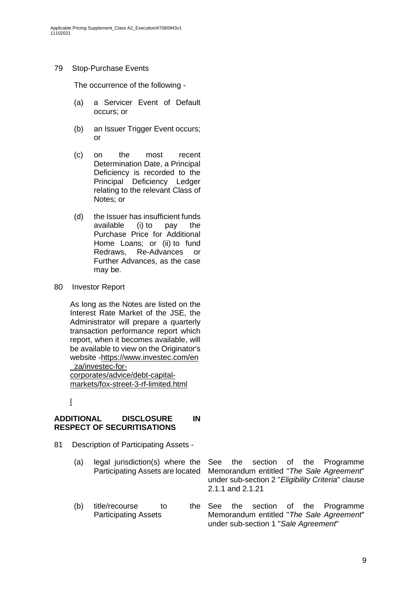### 79 Stop-Purchase Events

The occurrence of the following -

- (a) a Servicer Event of Default occurs; or
- (b) an Issuer Trigger Event occurs; or
- (c) on the most recent Determination Date, a Principal Deficiency is recorded to the Principal Deficiency Ledger relating to the relevant Class of Notes; or
- (d) the Issuer has insufficient funds available (i) to pay the Purchase Price for Additional Home Loans; or (ii) to fund Redraws, Re-Advances or Further Advances, as the case may be.
- 80 Investor Report

As long as the Notes are listed on the Interest Rate Market of the JSE, the Administrator will prepare a quarterly transaction performance report which report, when it becomes available, will be available to view on the Originator's website [-https://www.investec.com/en](https://www.investec.com/en_za/financing-for-corporates-and-institutions/capital-markets/debt-capital-markets/fox-street3(RF)Limited.html) [\\_za/investec-for-](https://www.investec.com/en_za/financing-for-corporates-and-institutions/capital-markets/debt-capital-markets/fox-street3(RF)Limited.html)

[corporates/advice/debt-capital](https://www.investec.com/en_za/financing-for-corporates-and-institutions/capital-markets/debt-capital-markets/fox-street3(RF)Limited.html)[markets/fox-street-3-rf-limited.html](https://www.investec.com/en_za/financing-for-corporates-and-institutions/capital-markets/debt-capital-markets/fox-street3(RF)Limited.html)

[l](https://www.investec.com/en_za/financing-for-corporates-and-institutions/capital-markets/debt-capital-markets/fox-street3(RF)Limited.html)

### **ADDITIONAL DISCLOSURE IN RESPECT OF SECURITISATIONS**

- 81 Description of Participating Assets
	- (a) legal jurisdiction(s) where the Participating Assets are located See the section of the Programme Memorandum entitled "*The Sale Agreement*"
	- (b) title/recourse to the See Participating Assets

under sub-section 2 "*Eligibility Criteria*" clause 2.1.1 and 2.1.21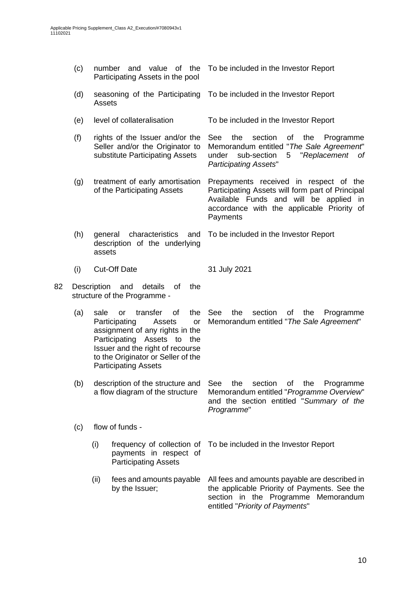|    | (c)                                                                                                                                                                                   |                                                                           | number and value of the<br>Participating Assets in the pool                                                                                                                                                                                       | To be included in the Investor Report                                                                                                                                                          |  |  |
|----|---------------------------------------------------------------------------------------------------------------------------------------------------------------------------------------|---------------------------------------------------------------------------|---------------------------------------------------------------------------------------------------------------------------------------------------------------------------------------------------------------------------------------------------|------------------------------------------------------------------------------------------------------------------------------------------------------------------------------------------------|--|--|
|    | (d)<br>seasoning of the Participating<br>Assets                                                                                                                                       |                                                                           |                                                                                                                                                                                                                                                   | To be included in the Investor Report                                                                                                                                                          |  |  |
|    | (e)                                                                                                                                                                                   |                                                                           | level of collateralisation                                                                                                                                                                                                                        | To be included in the Investor Report                                                                                                                                                          |  |  |
|    | (f)<br>rights of the Issuer and/or the<br>Seller and/or the Originator to<br>substitute Participating Assets<br>(g)<br>treatment of early amortisation<br>of the Participating Assets |                                                                           |                                                                                                                                                                                                                                                   | the<br>section<br>See<br>οf<br>the<br>Programme<br>Memorandum entitled "The Sale Agreement"<br>"Replacement<br>under<br>sub-section<br>5<br>0f<br><b>Participating Assets"</b>                 |  |  |
|    |                                                                                                                                                                                       |                                                                           |                                                                                                                                                                                                                                                   | Prepayments received in respect of the<br>Participating Assets will form part of Principal<br>Available Funds and will be applied in<br>accordance with the applicable Priority of<br>Payments |  |  |
|    | (h)                                                                                                                                                                                   | characteristics and<br>general<br>description of the underlying<br>assets |                                                                                                                                                                                                                                                   | To be included in the Investor Report                                                                                                                                                          |  |  |
|    | (i)                                                                                                                                                                                   |                                                                           | <b>Cut-Off Date</b>                                                                                                                                                                                                                               | 31 July 2021                                                                                                                                                                                   |  |  |
| 82 | Description<br>and<br>details<br>of<br>the<br>structure of the Programme -                                                                                                            |                                                                           |                                                                                                                                                                                                                                                   |                                                                                                                                                                                                |  |  |
|    | (a)                                                                                                                                                                                   | sale                                                                      | of<br>transfer<br>the<br><b>or</b><br>Participating<br>Assets<br>or<br>assignment of any rights in the<br>Participating Assets to<br>the<br>Issuer and the right of recourse<br>to the Originator or Seller of the<br><b>Participating Assets</b> | See<br>the<br>section<br>οf<br>the<br>Programme<br>Memorandum entitled "The Sale Agreement"                                                                                                    |  |  |
|    | description of the structure and<br>(b)<br>a flow diagram of the structure                                                                                                            |                                                                           |                                                                                                                                                                                                                                                   | section<br>See<br>the<br>Programme<br>Οf<br>the<br>Memorandum entitled "Programme Overview"<br>and the section entitled "Summary of the<br>Programme"                                          |  |  |
|    | (c)                                                                                                                                                                                   | flow of funds -                                                           |                                                                                                                                                                                                                                                   |                                                                                                                                                                                                |  |  |
|    |                                                                                                                                                                                       | (i)                                                                       | frequency of collection of<br>payments in respect of<br><b>Participating Assets</b>                                                                                                                                                               | To be included in the Investor Report                                                                                                                                                          |  |  |
|    |                                                                                                                                                                                       | (ii)                                                                      | fees and amounts payable<br>by the Issuer;                                                                                                                                                                                                        | All fees and amounts payable are described in<br>the applicable Priority of Payments. See the<br>section in the Programme Memorandum<br>entitled "Priority of Payments"                        |  |  |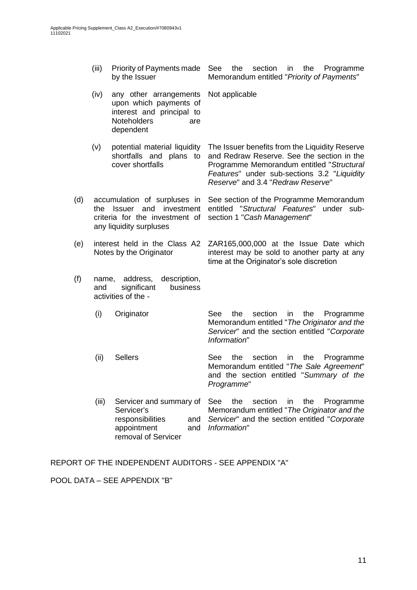- (iii) Priority of Payments made by the Issuer See the section in the Programme Memorandum entitled "*Priority of Payments*"
- (iv) any other arrangements upon which payments of interest and principal to Noteholders are dependent Not applicable
- (v) potential material liquidity shortfalls and plans to cover shortfalls The Issuer benefits from the Liquidity Reserve and Redraw Reserve. See the section in the Programme Memorandum entitled "*Structural Features*" under sub-sections 3.2 "*Liquidity*
- (d) accumulation of surpluses in See section of the Programme Memorandum the Issuer and investment criteria for the investment of any liquidity surpluses
- (e) interest held in the Class A2 Notes by the Originator
- (f) name, address, description, and significant business activities of the -
	- (i) Originator See the section in the Programme Memorandum entitled "*The Originator and the Servicer*" and the section entitled "*Corporate Information*"

time at the Originator's sole discretion

*Reserve*" and 3.4 "*Redraw Reserve*"

section 1 "*Cash Management*"

entitled "*Structural Features*" under sub-

ZAR165,000,000 at the Issue Date which interest may be sold to another party at any

- (ii) Sellers See the section in the Programme Memorandum entitled "*The Sale Agreement*" and the section entitled "*Summary of the Programme*"
- (iii) Servicer and summary of Servicer's responsibilities and appointment removal of Servicer See the section in the Programme Memorandum entitled "*The Originator and the Servicer*" and the section entitled "*Corporate Information*"

REPORT OF THE INDEPENDENT AUDITORS - SEE APPENDIX "A"

POOL DATA – SEE APPENDIX "B"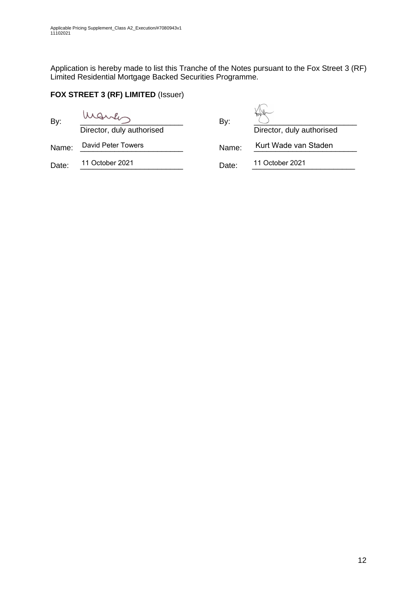Application is hereby made to list this Tranche of the Notes pursuant to the Fox Street 3 (RF) Limited Residential Mortgage Backed Securities Programme.

# **FOX STREET 3 (RF) LIMITED** (Issuer)

| By:   | Director, duly authorised | By:   | Director, duly authorised |
|-------|---------------------------|-------|---------------------------|
| Name: | David Peter Towers        | Name: | Kurt Wade van Staden      |
| Date: | 11 October 2021           | Date: | 11 October 2021           |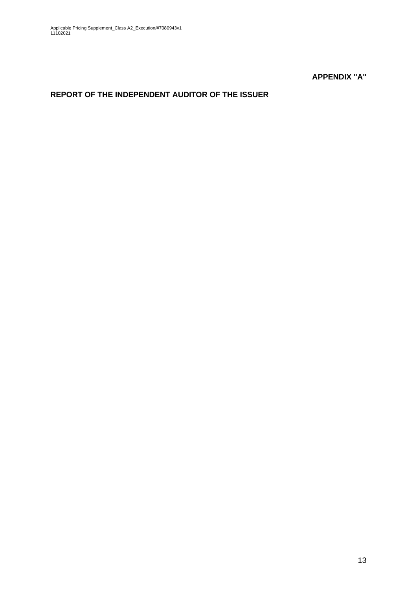**APPENDIX "A"**

# **REPORT OF THE INDEPENDENT AUDITOR OF THE ISSUER**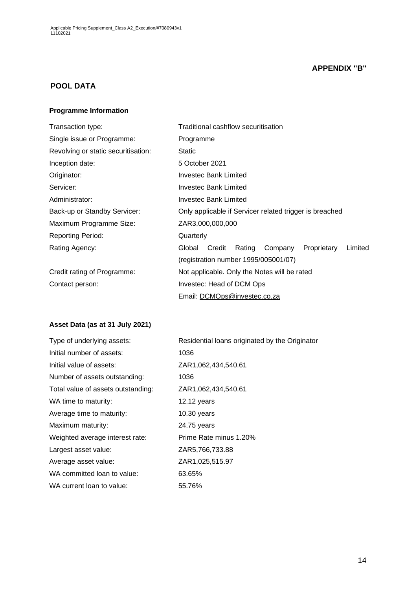## **APPENDIX "B"**

## **POOL DATA**

#### **Programme Information**

| Transaction type:                   | Traditional cashflow securitisation                             |  |  |  |  |  |
|-------------------------------------|-----------------------------------------------------------------|--|--|--|--|--|
| Single issue or Programme:          | Programme                                                       |  |  |  |  |  |
| Revolving or static securitisation: | <b>Static</b>                                                   |  |  |  |  |  |
| Inception date:                     | 5 October 2021                                                  |  |  |  |  |  |
| Originator:                         | Investec Bank Limited                                           |  |  |  |  |  |
| Servicer:                           | Investec Bank Limited                                           |  |  |  |  |  |
| Administrator:                      | Investec Bank Limited                                           |  |  |  |  |  |
| Back-up or Standby Servicer:        | Only applicable if Servicer related trigger is breached         |  |  |  |  |  |
| Maximum Programme Size:             | ZAR3,000,000,000                                                |  |  |  |  |  |
| <b>Reporting Period:</b>            | Quarterly                                                       |  |  |  |  |  |
| Rating Agency:                      | Limited<br>Credit<br>Rating<br>Proprietary<br>Global<br>Company |  |  |  |  |  |
|                                     | (registration number 1995/005001/07)                            |  |  |  |  |  |
| Credit rating of Programme:         | Not applicable. Only the Notes will be rated                    |  |  |  |  |  |
| Contact person:                     | Investec: Head of DCM Ops                                       |  |  |  |  |  |
|                                     | Email: DCMOps@investec.co.za                                    |  |  |  |  |  |

## **Asset Data (as at 31 July 2021)**

| Type of underlying assets:         | Residential loans originated by the Originator |
|------------------------------------|------------------------------------------------|
| Initial number of assets:          | 1036                                           |
| Initial value of assets:           | ZAR1,062,434,540.61                            |
| Number of assets outstanding:      | 1036                                           |
| Total value of assets outstanding: | ZAR1,062,434,540.61                            |
| WA time to maturity:               | $12.12$ years                                  |
| Average time to maturity:          | $10.30$ years                                  |
| Maximum maturity:                  | 24.75 years                                    |
| Weighted average interest rate:    | Prime Rate minus 1.20%                         |
| Largest asset value:               | ZAR5,766,733.88                                |
| Average asset value:               | ZAR1,025,515.97                                |
| WA committed loan to value:        | 63.65%                                         |
| WA current loan to value:          | 55.76%                                         |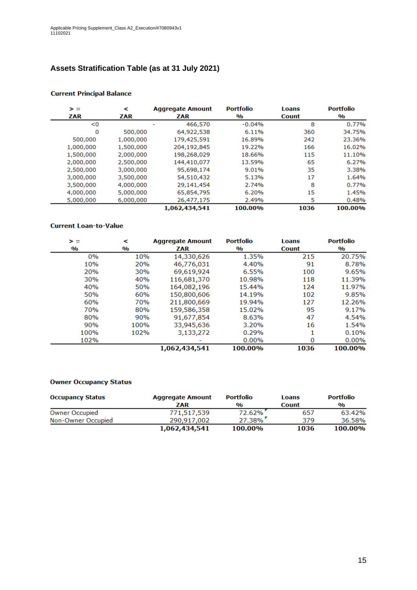# **Assets Stratification Table (as at 31 July 2021)**

| > =       | ≺         | <b>Aggregate Amount</b> | <b>Portfolio</b>        | Loans        | <b>Portfolio</b>        |
|-----------|-----------|-------------------------|-------------------------|--------------|-------------------------|
| ZAR       | ZAR       | ZAR                     | $\mathbf{0}/\mathbf{0}$ | <b>Count</b> | $\mathbf{0}/\mathbf{0}$ |
| < 0       |           | 466,570                 | $-0.04%$                | 8            | 0.77%                   |
| 0         | 500,000   | 64,922,538              | 6.11%                   | 360          | 34.75%                  |
| 500,000   | 1,000,000 | 179,425,591             | 16.89%                  | 242          | 23.36%                  |
| 1,000,000 | 1,500,000 | 204,192,845             | 19.22%                  | 166          | 16.02%                  |
| 1,500,000 | 2,000,000 | 198,268,029             | 18.66%                  | 115          | 11.10%                  |
| 2,000,000 | 2,500,000 | 144,410,077             | 13.59%                  | 65           | 6.27%                   |
| 2,500,000 | 3,000,000 | 95,698,174              | 9.01%                   | 35           | 3.38%                   |
| 3,000,000 | 3,500,000 | 54,510,432              | 5.13%                   | 17           | 1.64%                   |
| 3,500,000 | 4,000,000 | 29,141,454              | 2.74%                   | 8            | 0.77%                   |
| 4,000,000 | 5,000,000 | 65,854,795              | 6.20%                   | 15           | 1.45%                   |
| 5,000,000 | 6,000,000 | 26,477,175              | 2.49%                   | 5            | 0.48%                   |
|           |           | 1,062,434,541           | 100.00%                 | 1036         | 100.00%                 |

#### **Current Principal Balance**

#### **Current Loan-to-Value**

| > =           | ⋖                       | <b>Aggregate Amount</b> | <b>Portfolio</b> | <b>Loans</b> | <b>Portfolio</b>        |
|---------------|-------------------------|-------------------------|------------------|--------------|-------------------------|
| $\frac{0}{0}$ | $\mathbf{0}/\mathbf{0}$ | ZAR                     | $\frac{0}{0}$    | <b>Count</b> | $\mathbf{0}/\mathbf{0}$ |
| 0%            | 10%                     | 14,330,626              | 1.35%            | 215          | 20.75%                  |
| 10%           | 20%                     | 46,776,031              | 4.40%            | 91           | 8.78%                   |
| 20%           | <b>30%</b>              | 69,619,924              | 6.55%            | 100          | 9.65%                   |
| 30%           | 40%                     | 116,681,370             | 10.98%           | 118          | 11.39%                  |
| 40%           | 50%                     | 164,082,196             | 15.44%           | 124          | 11.97%                  |
| 50%           | 60%                     | 150,800,606             | 14.19%           | 102          | 9.85%                   |
| 60%           | 70%                     | 211,800,669             | 19.94%           | 127          | 12.26%                  |
| 70%           | 80%                     | 159,586,358             | 15.02%           | 95           | 9.17%                   |
| 80%           | 90%                     | 91,677,854              | 8.63%            | 47           | 4.54%                   |
| 90%           | 100%                    | 33,945,636              | 3.20%            | 16           | 1.54%                   |
| 100%          | 102%                    | 3,133,272               | 0.29%            |              | 0.10%                   |
| 102%          |                         |                         | 0.00%            | 0            | 0.00%                   |
|               |                         | 1,062,434,541           | 100.00%          | 1036         | 100.00%                 |

#### **Owner Occupancy Status**

| <b>Occupancy Status</b> | <b>Aggregate Amount</b> | <b>Portfolio</b> | Loans        | <b>Portfolio</b> |
|-------------------------|-------------------------|------------------|--------------|------------------|
|                         | ZAR                     | $\frac{0}{0}$    | <b>Count</b> | $\frac{0}{0}$    |
| <b>Owner Occupied</b>   | 771,517,539             | 72.62%           | 657          | 63.42%           |
| Non-Owner Occupied      | 290.917.002             | $27.38\%$        | 379          | 36.58%           |
|                         | 1,062,434,541           | 100.00%          | 1036         | 100.00%          |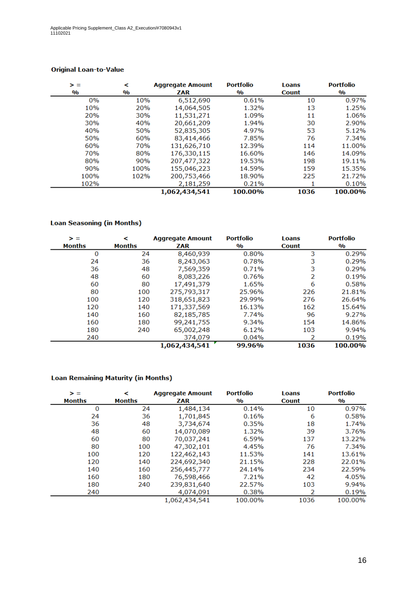| > =           | <             | <b>Aggregate Amount</b> |               | <b>Loans</b> | <b>Portfolio</b> |
|---------------|---------------|-------------------------|---------------|--------------|------------------|
| $\frac{0}{0}$ | $\frac{0}{0}$ | ZAR                     | $\frac{0}{0}$ | <b>Count</b> | $\frac{0}{0}$    |
| 0%            | 10%           | 6,512,690               | 0.61%         | 10           | 0.97%            |
| 10%           | 20%           | 14,064,505              | 1.32%         | 13           | 1.25%            |
| 20%           | 30%           | 11,531,271              | 1.09%         | 11           | 1.06%            |
| 30%           | 40%           | 20,661,209              | 1.94%         | 30           | 2.90%            |
| 40%           | 50%           | 52,835,305              | 4.97%         | 53           | 5.12%            |
| 50%           | 60%           | 83,414,466              | 7.85%         | 76           | 7.34%            |
| 60%           | 70%           | 131,626,710             | 12.39%        | 114          | 11.00%           |
| 70%           | 80%           | 176,330,115             | 16.60%        | 146          | 14.09%           |
| 80%           | 90%           | 207,477,322             | 19.53%        | 198          | 19.11%           |
| 90%           | 100%          | 155,046,223             | 14.59%        | 159          | 15.35%           |
| 100%          | 102%          | 200,753,466             | 18.90%        | 225          | 21.72%           |
| 102%          |               | 2,181,259               | 0.21%         |              | 0.10%            |
|               |               | 1,062,434,541           | 100.00%       | 1036         | 100.00%          |

### **Original Loan-to-Value**

### **Loan Seasoning (in Months)**

| > =<br><b>Months</b> | ≺<br><b>Months</b> | <b>Aggregate Amount</b><br>ZAR | <b>Portfolio</b><br>$\mathbf{O}/\mathbf{O}$ | <b>Loans</b><br><b>Count</b> | <b>Portfolio</b><br>$\mathbf{0}/\mathbf{0}$ |
|----------------------|--------------------|--------------------------------|---------------------------------------------|------------------------------|---------------------------------------------|
| 0                    | 24                 | 8,460,939                      | 0.80%                                       | 3                            | 0.29%                                       |
| 24                   | 36                 | 8,243,063                      | 0.78%                                       | 3                            | 0.29%                                       |
| 36                   | 48                 | 7,569,359                      | 0.71%                                       | 3                            | 0.29%                                       |
| 48                   | 60                 | 8,083,226                      | 0.76%                                       | 2                            | 0.19%                                       |
| 60                   | 80                 | 17,491,379                     | 1.65%                                       | 6                            | 0.58%                                       |
| 80                   | 100                | 275,793,317                    | 25.96%                                      | 226                          | 21.81%                                      |
| 100                  | 120                | 318,651,823                    | 29.99%                                      | 276                          | 26.64%                                      |
| 120                  | 140                | 171,337,569                    | 16.13%                                      | 162                          | 15.64%                                      |
| 140                  | 160                | 82,185,785                     | 7.74%                                       | 96                           | 9.27%                                       |
| 160                  | 180                | 99,241,755                     | 9.34%                                       | 154                          | 14.86%                                      |
| 180                  | 240                | 65,002,248                     | 6.12%                                       | 103                          | 9.94%                                       |
| 240                  |                    | 374,079                        | 0.04%                                       |                              | 0.19%                                       |
|                      |                    | 1,062,434,541                  | 99.96%                                      | 1036                         | 100.00%                                     |

#### **Loan Remaining Maturity (in Months)**

| > =           | ≺             | <b>Aggregate Amount</b> | <b>Portfolio</b>        | <b>Loans</b> | <b>Portfolio</b>        |
|---------------|---------------|-------------------------|-------------------------|--------------|-------------------------|
| <b>Months</b> | <b>Months</b> | ZAR                     | $\mathbf{0}/\mathbf{0}$ | <b>Count</b> | $\mathbf{0}/\mathbf{0}$ |
| 0             | 24            | 1,484,134               | 0.14%                   | 10           | 0.97%                   |
| 24            | 36            | 1,701,845               | 0.16%                   | 6            | 0.58%                   |
| 36            | 48            | 3,734,674               | 0.35%                   | 18           | 1.74%                   |
| 48            | 60            | 14,070,089              | 1.32%                   | 39           | 3.76%                   |
| 60            | 80            | 70,037,241              | 6.59%                   | 137          | 13.22%                  |
| 80            | 100           | 47,302,101              | 4.45%                   | 76           | 7.34%                   |
| 100           | 120           | 122,462,143             | 11.53%                  | 141          | 13.61%                  |
| 120           | 140           | 224,692,340             | 21.15%                  | 228          | 22.01%                  |
| 140           | 160           | 256,445,777             | 24.14%                  | 234          | 22.59%                  |
| 160           | 180           | 76,598,466              | 7.21%                   | 42           | 4.05%                   |
| 180           | 240           | 239,831,640             | 22.57%                  | 103          | 9.94%                   |
| 240           |               | 4,074,091               | 0.38%                   | 2            | 0.19%                   |
|               |               | 1,062,434,541           | 100.00%                 | 1036         | 100.00%                 |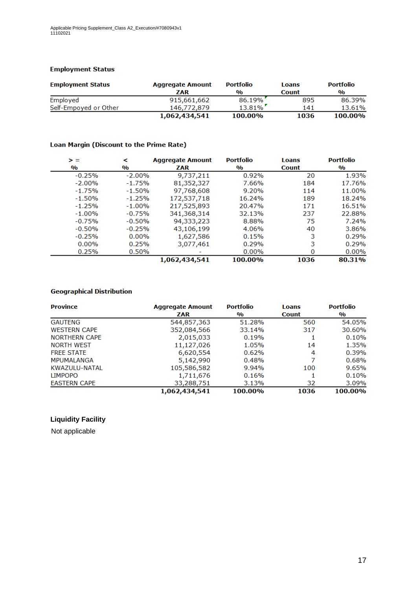#### **Employment Status**

| <b>Employment Status</b> | <b>Aggregate Amount</b> | <b>Portfolio</b> | Loans        | <b>Portfolio</b> |
|--------------------------|-------------------------|------------------|--------------|------------------|
|                          | ZAR                     | $\frac{0}{0}$    | <b>Count</b> | $\frac{0}{0}$    |
| Employed                 | 915,661,662             | 86.19%           | 895          | 86.39%           |
| Self-Empoyed or Other    | 146,772,879             | $13.81\%$        | 141          | 13.61%           |
|                          | 1,062,434,541           | 100.00%          | 1036         | 100.00%          |

#### Loan Margin (Discount to the Prime Rate)

| > =                     | ≺                       | <b>Aggregate Amount</b> | <b>Portfolio</b>        | <b>Loans</b> | <b>Portfolio</b> |
|-------------------------|-------------------------|-------------------------|-------------------------|--------------|------------------|
| $\mathbf{0}/\mathbf{0}$ | $\mathbf{0}/\mathbf{0}$ | ZAR                     | $\mathbf{0}/\mathbf{0}$ | <b>Count</b> | $\frac{0}{0}$    |
| $-0.25%$                | $-2.00\%$               | 9,737,211               | 0.92%                   | 20           | 1.93%            |
| $-2.00%$                | $-1.75%$                | 81,352,327              | 7.66%                   | 184          | 17.76%           |
| $-1.75%$                | $-1.50%$                | 97,768,608              | 9.20%                   | 114          | 11.00%           |
| $-1.50%$                | $-1.25%$                | 172,537,718             | 16.24%                  | 189          | 18.24%           |
| $-1.25%$                | $-1.00%$                | 217,525,893             | 20.47%                  | 171          | 16.51%           |
| $-1.00%$                | $-0.75%$                | 341,368,314             | 32.13%                  | 237          | 22.88%           |
| $-0.75%$                | $-0.50%$                | 94,333,223              | 8.88%                   | 75           | 7.24%            |
| $-0.50%$                | $-0.25%$                | 43,106,199              | 4.06%                   | 40           | 3.86%            |
| $-0.25%$                | $0.00\%$                | 1,627,586               | 0.15%                   | 3            | 0.29%            |
| $0.00\%$                | 0.25%                   | 3,077,461               | 0.29%                   | 3            | 0.29%            |
| 0.25%                   | 0.50%                   |                         | $0.00\%$                | 0            | $0.00\%$         |
|                         |                         | 1,062,434,541           | 100.00%                 | 1036         | 80.31%           |

### **Geographical Distribution**

| <b>Province</b>      | <b>Portfolio</b><br><b>Aggregate Amount</b> |               | <b>Loans</b> | <b>Portfolio</b> |
|----------------------|---------------------------------------------|---------------|--------------|------------------|
|                      | <b>ZAR</b>                                  | $\frac{0}{0}$ | <b>Count</b> | $\frac{0}{0}$    |
| <b>GAUTENG</b>       | 544,857,363                                 | 51.28%        | 560          | 54.05%           |
| <b>WESTERN CAPE</b>  | 352,084,566                                 | 33.14%        | 317          | 30.60%           |
| <b>NORTHERN CAPE</b> | 2,015,033                                   | 0.19%         |              | 0.10%            |
| <b>NORTH WEST</b>    | 11,127,026                                  | 1.05%         | 14           | 1.35%            |
| <b>FREE STATE</b>    | 6,620,554                                   | 0.62%         | 4            | 0.39%            |
| <b>MPUMALANGA</b>    | 5,142,990                                   | 0.48%         |              | 0.68%            |
| KWAZULU-NATAL        | 105,586,582                                 | 9.94%         | 100          | 9.65%            |
| <b>LIMPOPO</b>       | 1,711,676                                   | 0.16%         |              | 0.10%            |
| <b>EASTERN CAPE</b>  | 33,288,751                                  | 3.13%         | 32           | 3.09%            |
|                      | 1,062,434,541                               | 100.00%       | 1036         | 100.00%          |

### **Liquidity Facility**

Not applicable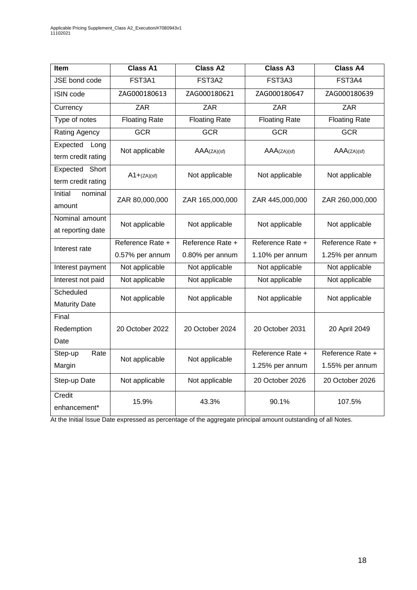| <b>Item</b>                            | <b>Class A1</b>      | <b>Class A2</b>      | <b>Class A3</b>                     | <b>Class A4</b>                     |
|----------------------------------------|----------------------|----------------------|-------------------------------------|-------------------------------------|
| JSE bond code                          | FST3A1               | FST3A2               | FST3A3                              | FST3A4                              |
| ISIN code                              | ZAG000180613         | ZAG000180621         | ZAG000180647                        | ZAG000180639                        |
| Currency                               | ZAR                  | <b>ZAR</b>           | <b>ZAR</b>                          | <b>ZAR</b>                          |
| Type of notes                          | <b>Floating Rate</b> | <b>Floating Rate</b> | <b>Floating Rate</b>                | <b>Floating Rate</b>                |
| <b>Rating Agency</b>                   | <b>GCR</b>           | <b>GCR</b>           | <b>GCR</b>                          | <b>GCR</b>                          |
| Expected<br>Long<br>term credit rating | Not applicable       | AAA(ZA)(sf)          | AAA(ZA)(sf)                         | AAA(ZA)(sf)                         |
| Expected Short<br>term credit rating   | $A1 + (ZA)(sf)$      | Not applicable       | Not applicable                      | Not applicable                      |
| Initial<br>nominal<br>amount           | ZAR 80,000,000       | ZAR 165,000,000      | ZAR 445,000,000                     | ZAR 260,000,000                     |
| Nominal amount<br>at reporting date    | Not applicable       | Not applicable       | Not applicable                      | Not applicable                      |
| Interest rate                          | Reference Rate +     | Reference Rate +     | Reference Rate +                    | Reference Rate +                    |
|                                        | 0.57% per annum      | 0.80% per annum      | 1.10% per annum                     | 1.25% per annum                     |
| Interest payment                       | Not applicable       | Not applicable       | Not applicable                      | Not applicable                      |
| Interest not paid                      | Not applicable       | Not applicable       | Not applicable                      | Not applicable                      |
| Scheduled<br><b>Maturity Date</b>      | Not applicable       | Not applicable       | Not applicable                      | Not applicable                      |
| Final<br>Redemption<br>Date            | 20 October 2022      | 20 October 2024      | 20 October 2031                     | 20 April 2049                       |
| Step-up<br>Rate<br>Margin              | Not applicable       | Not applicable       | Reference Rate +<br>1.25% per annum | Reference Rate +<br>1.55% per annum |
| Step-up Date                           | Not applicable       | Not applicable       | 20 October 2026                     | 20 October 2026                     |
| Credit<br>enhancement*                 | 15.9%                | 43.3%                | 90.1%                               | 107.5%                              |

At the Initial Issue Date expressed as percentage of the aggregate principal amount outstanding of all Notes.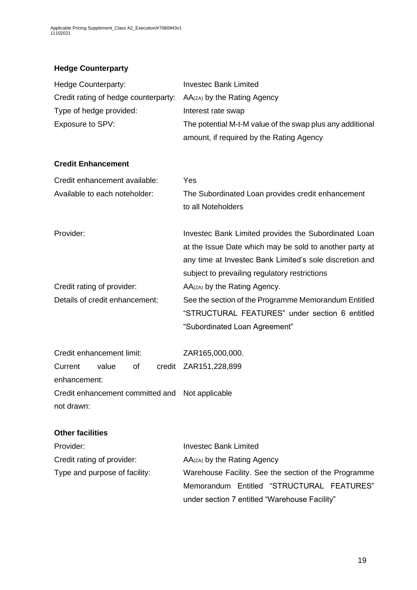# **Hedge Counterparty**

| Hedge Counterparty:                             | <b>Investec Bank Limited</b>                                                                                                                                                                                                |
|-------------------------------------------------|-----------------------------------------------------------------------------------------------------------------------------------------------------------------------------------------------------------------------------|
| Credit rating of hedge counterparty:            | AA(zA) by the Rating Agency                                                                                                                                                                                                 |
| Type of hedge provided:                         | Interest rate swap                                                                                                                                                                                                          |
| Exposure to SPV:                                | The potential M-t-M value of the swap plus any additional                                                                                                                                                                   |
|                                                 | amount, if required by the Rating Agency                                                                                                                                                                                    |
| <b>Credit Enhancement</b>                       |                                                                                                                                                                                                                             |
| Credit enhancement available:                   | Yes                                                                                                                                                                                                                         |
| Available to each noteholder:                   | The Subordinated Loan provides credit enhancement<br>to all Noteholders                                                                                                                                                     |
| Provider:                                       | Investec Bank Limited provides the Subordinated Loan<br>at the Issue Date which may be sold to another party at<br>any time at Investec Bank Limited's sole discretion and<br>subject to prevailing regulatory restrictions |
| Credit rating of provider:                      | AA(zA) by the Rating Agency.                                                                                                                                                                                                |
| Details of credit enhancement:                  | See the section of the Programme Memorandum Entitled                                                                                                                                                                        |
|                                                 | "STRUCTURAL FEATURES" under section 6 entitled                                                                                                                                                                              |
|                                                 | "Subordinated Loan Agreement"                                                                                                                                                                                               |
| Credit enhancement limit:                       | ZAR165,000,000.                                                                                                                                                                                                             |
| value<br>of<br>Current                          | credit ZAR151,228,899                                                                                                                                                                                                       |
| enhancement:                                    |                                                                                                                                                                                                                             |
| Credit enhancement committed and Not applicable |                                                                                                                                                                                                                             |
| not drawn:                                      |                                                                                                                                                                                                                             |
| <b>Other facilities</b>                         |                                                                                                                                                                                                                             |
| Provider:                                       | <b>Investec Bank Limited</b>                                                                                                                                                                                                |
| Credit rating of provider:                      | AA(zA) by the Rating Agency                                                                                                                                                                                                 |
| Type and purpose of facility:                   | Warehouse Facility. See the section of the Programme                                                                                                                                                                        |
|                                                 | Memorandum Entitled "STRUCTURAL FEATURES"                                                                                                                                                                                   |
|                                                 | under section 7 entitled "Warehouse Facility"                                                                                                                                                                               |